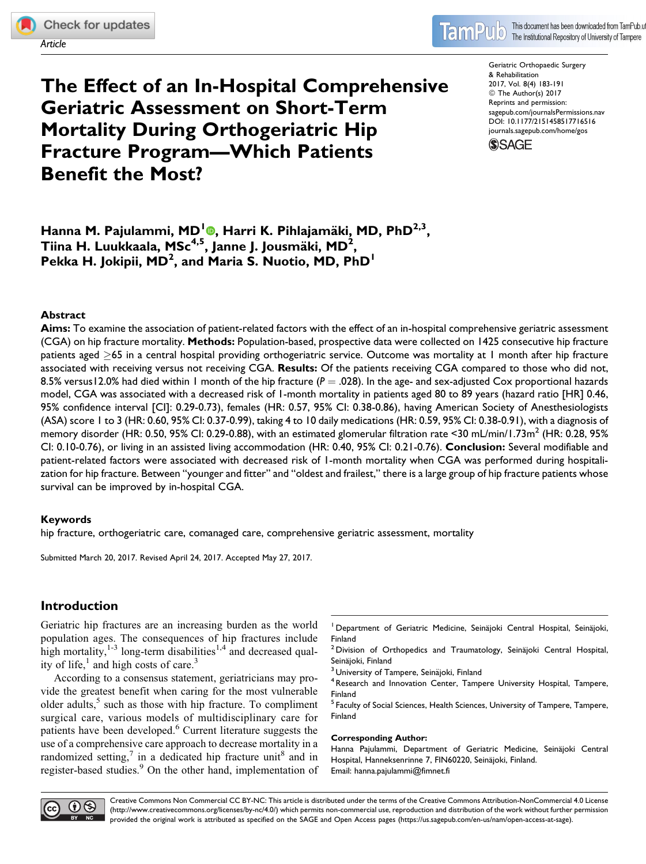Article

# The Effect of an In-Hospital Comprehensive Geriatric Assessment on Short-Term Mortality During Orthogeriatric Hip Fracture Program—Which Patients Benefit the Most?

Geriatric Orthopaedic Surgery & Rehabilitation 2017, Vol. 8(4) 183-191 © The Author(s) 2017 Reprints and permission: [sagepub.com/journalsPermissions.nav](https://us.sagepub.com/en-us/journals-permissions) [DOI: 10.1177/2151458517716516](https://doi.org/10.1177/2151458517716516) [journals.sagepub.com/home/gos](http://journals.sagepub.com/home/gos)

**SSAGE** 

Hanna M. Pajulammi[,](http://orcid.org/0000-0003-4249-1672) MD<sup>1</sup>®, Harri K. Pihlajamäki, MD, PhD<sup>2,3</sup>, Tiina H. Luukkaala, MSc $^{4,5}$ , Janne J. Jousmäki, MD $^{2}$ , Pekka H. Jokipii, MD<sup>2</sup>, and Maria S. Nuotio, MD, PhD<sup>1</sup>

## Abstract

Aims: To examine the association of patient-related factors with the effect of an in-hospital comprehensive geriatric assessment (CGA) on hip fracture mortality. Methods: Population-based, prospective data were collected on 1425 consecutive hip fracture patients aged  $\geq$ 65 in a central hospital providing orthogeriatric service. Outcome was mortality at 1 month after hip fracture associated with receiving versus not receiving CGA. Results: Of the patients receiving CGA compared to those who did not, 8.5% versus12.0% had died within 1 month of the hip fracture ( $P = .028$ ). In the age- and sex-adjusted Cox proportional hazards model, CGA was associated with a decreased risk of 1-month mortality in patients aged 80 to 89 years (hazard ratio [HR] 0.46, 95% confidence interval [CI]: 0.29-0.73), females (HR: 0.57, 95% CI: 0.38-0.86), having American Society of Anesthesiologists (ASA) score 1 to 3 (HR: 0.60, 95% CI: 0.37-0.99), taking 4 to 10 daily medications (HR: 0.59, 95% CI: 0.38-0.91), with a diagnosis of memory disorder (HR: 0.50, 95% CI: 0.29-0.88), with an estimated glomerular filtration rate <30 mL/min/1.73m<sup>2</sup> (HR: 0.28, 95% CI: 0.10-0.76), or living in an assisted living accommodation (HR: 0.40, 95% CI: 0.21-0.76). Conclusion: Several modifiable and patient-related factors were associated with decreased risk of 1-month mortality when CGA was performed during hospitalization for hip fracture. Between "younger and fitter" and "oldest and frailest," there is a large group of hip fracture patients whose survival can be improved by in-hospital CGA.

## Keywords

hip fracture, orthogeriatric care, comanaged care, comprehensive geriatric assessment, mortality

Submitted March 20, 2017. Revised April 24, 2017. Accepted May 27, 2017.

# Introduction

Geriatric hip fractures are an increasing burden as the world population ages. The consequences of hip fractures include high mortality, $1-3$  long-term disabilities<sup>1,4</sup> and decreased quality of life, $<sup>1</sup>$  and high costs of care.<sup>3</sup></sup>

According to a consensus statement, geriatricians may provide the greatest benefit when caring for the most vulnerable older adults, $5$  such as those with hip fracture. To compliment surgical care, various models of multidisciplinary care for patients have been developed.<sup>6</sup> Current literature suggests the use of a comprehensive care approach to decrease mortality in a randomized setting,<sup>7</sup> in a dedicated hip fracture unit<sup>8</sup> and in register-based studies.<sup>9</sup> On the other hand, implementation of

- $2$  Division of Orthopedics and Traumatology, Seinäjoki Central Hospital,
- 

Seinäjoki, Finland<br><sup>3</sup> University of Tampere, Seinäjoki, Finland<br><sup>4</sup> Research and Innovation Center, Tampere University Hospital, Tampere, Finland

<sup>5</sup> Faculty of Social Sciences, Health Sciences, University of Tampere, Tampere, Finland

#### Corresponding Author:

Hanna Pajulammi, Department of Geriatric Medicine, Seinäjoki Central Hospital, Hanneksenrinne 7, FIN60220, Seinäjoki, Finland. Email: hanna.pajulammi@fimnet.fi



<sup>&</sup>lt;sup>1</sup> Department of Geriatric Medicine, Seinäjoki Central Hospital, Seinäjoki, Finland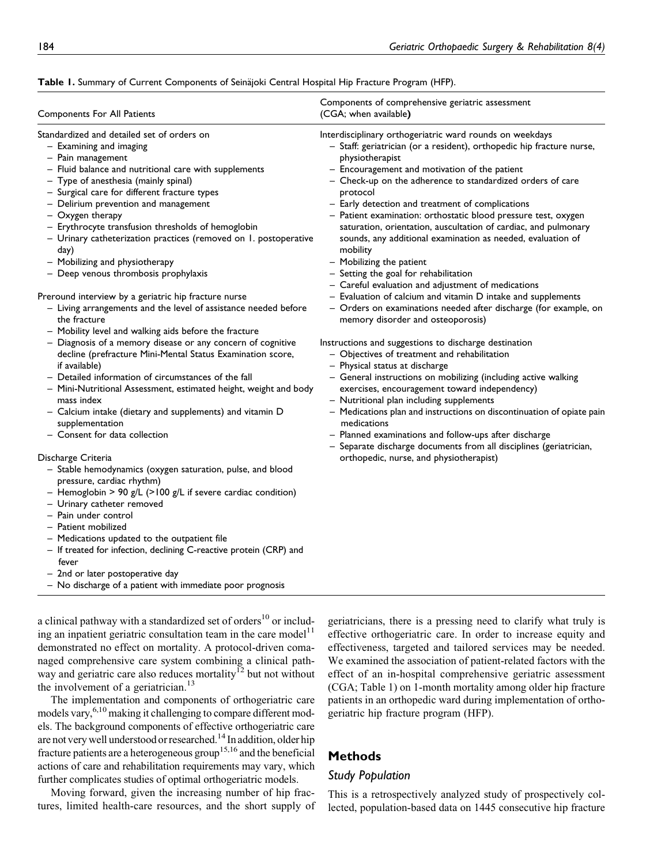| Components For All Patients                                                                                                                                                                                                                                                                                                                                                                                                                                                                                                                                                                                                                                                                                                                                                                                                                                                                                                                                                                                                                                                                                                                                                                                                                                                                                                                                                                                                                                                                                                                                       | Components of comprehensive geriatric assessment<br>(CGA; when available)                                                                                                                                                                                                                                                                                                                                                                                                                                                                                                                                                                                                                                                                                                                                                                                                                                                                                                                                                                                                                                                                                                                                                                                                                                                                                                                                                           |
|-------------------------------------------------------------------------------------------------------------------------------------------------------------------------------------------------------------------------------------------------------------------------------------------------------------------------------------------------------------------------------------------------------------------------------------------------------------------------------------------------------------------------------------------------------------------------------------------------------------------------------------------------------------------------------------------------------------------------------------------------------------------------------------------------------------------------------------------------------------------------------------------------------------------------------------------------------------------------------------------------------------------------------------------------------------------------------------------------------------------------------------------------------------------------------------------------------------------------------------------------------------------------------------------------------------------------------------------------------------------------------------------------------------------------------------------------------------------------------------------------------------------------------------------------------------------|-------------------------------------------------------------------------------------------------------------------------------------------------------------------------------------------------------------------------------------------------------------------------------------------------------------------------------------------------------------------------------------------------------------------------------------------------------------------------------------------------------------------------------------------------------------------------------------------------------------------------------------------------------------------------------------------------------------------------------------------------------------------------------------------------------------------------------------------------------------------------------------------------------------------------------------------------------------------------------------------------------------------------------------------------------------------------------------------------------------------------------------------------------------------------------------------------------------------------------------------------------------------------------------------------------------------------------------------------------------------------------------------------------------------------------------|
| Standardized and detailed set of orders on<br>$-$ Examining and imaging<br>- Pain management<br>- Fluid balance and nutritional care with supplements<br>- Type of anesthesia (mainly spinal)<br>- Surgical care for different fracture types<br>- Delirium prevention and management<br>- Oxygen therapy<br>- Erythrocyte transfusion thresholds of hemoglobin<br>- Urinary catheterization practices (removed on 1. postoperative<br>day)<br>- Mobilizing and physiotherapy<br>- Deep venous thrombosis prophylaxis<br>Preround interview by a geriatric hip fracture nurse<br>- Living arrangements and the level of assistance needed before<br>the fracture<br>- Mobility level and walking aids before the fracture<br>- Diagnosis of a memory disease or any concern of cognitive<br>decline (prefracture Mini-Mental Status Examination score,<br>if available)<br>- Detailed information of circumstances of the fall<br>- Mini-Nutritional Assessment, estimated height, weight and body<br>mass index<br>- Calcium intake (dietary and supplements) and vitamin D<br>supplementation<br>- Consent for data collection<br>Discharge Criteria<br>- Stable hemodynamics (oxygen saturation, pulse, and blood<br>pressure, cardiac rhythm)<br>- Hemoglobin > 90 g/L (>100 g/L if severe cardiac condition)<br>- Urinary catheter removed<br>- Pain under control<br>– Patient mobilized<br>- Medications updated to the outpatient file<br>- If treated for infection, declining C-reactive protein (CRP) and<br>fever<br>- 2nd or later postoperative day | Interdisciplinary orthogeriatric ward rounds on weekdays<br>- Staff: geriatrician (or a resident), orthopedic hip fracture nurse,<br>physiotherapist<br>- Encouragement and motivation of the patient<br>- Check-up on the adherence to standardized orders of care<br>protocol<br>- Early detection and treatment of complications<br>- Patient examination: orthostatic blood pressure test, oxygen<br>saturation, orientation, auscultation of cardiac, and pulmonary<br>sounds, any additional examination as needed, evaluation of<br>mobility<br>- Mobilizing the patient<br>- Setting the goal for rehabilitation<br>- Careful evaluation and adjustment of medications<br>- Evaluation of calcium and vitamin D intake and supplements<br>- Orders on examinations needed after discharge (for example, on<br>memory disorder and osteoporosis)<br>Instructions and suggestions to discharge destination<br>- Objectives of treatment and rehabilitation<br>- Physical status at discharge<br>- General instructions on mobilizing (including active walking<br>exercises, encouragement toward independency)<br>- Nutritional plan including supplements<br>- Medications plan and instructions on discontinuation of opiate pain<br>medications<br>- Planned examinations and follow-ups after discharge<br>- Separate discharge documents from all disciplines (geriatrician,<br>orthopedic, nurse, and physiotherapist) |

#### Table 1. Summary of Current Components of Seinäjoki Central Hospital Hip Fracture Program (HFP).

a clinical pathway with a standardized set of orders $10$  or including an inpatient geriatric consultation team in the care model<sup>11</sup> demonstrated no effect on mortality. A protocol-driven comanaged comprehensive care system combining a clinical pathway and geriatric care also reduces mortality<sup>12</sup> but not without the involvement of a geriatrician.<sup>13</sup>

– No discharge of a patient with immediate poor prognosis

The implementation and components of orthogeriatric care models vary,<sup>6,10</sup> making it challenging to compare different models. The background components of effective orthogeriatric care are not very well understood or researched.14 In addition, older hip fracture patients are a heterogeneous group<sup>15,16</sup> and the beneficial actions of care and rehabilitation requirements may vary, which further complicates studies of optimal orthogeriatric models.

Moving forward, given the increasing number of hip fractures, limited health-care resources, and the short supply of geriatricians, there is a pressing need to clarify what truly is effective orthogeriatric care. In order to increase equity and effectiveness, targeted and tailored services may be needed. We examined the association of patient-related factors with the effect of an in-hospital comprehensive geriatric assessment (CGA; Table 1) on 1-month mortality among older hip fracture patients in an orthopedic ward during implementation of orthogeriatric hip fracture program (HFP).

# Methods

## Study Population

This is a retrospectively analyzed study of prospectively collected, population-based data on 1445 consecutive hip fracture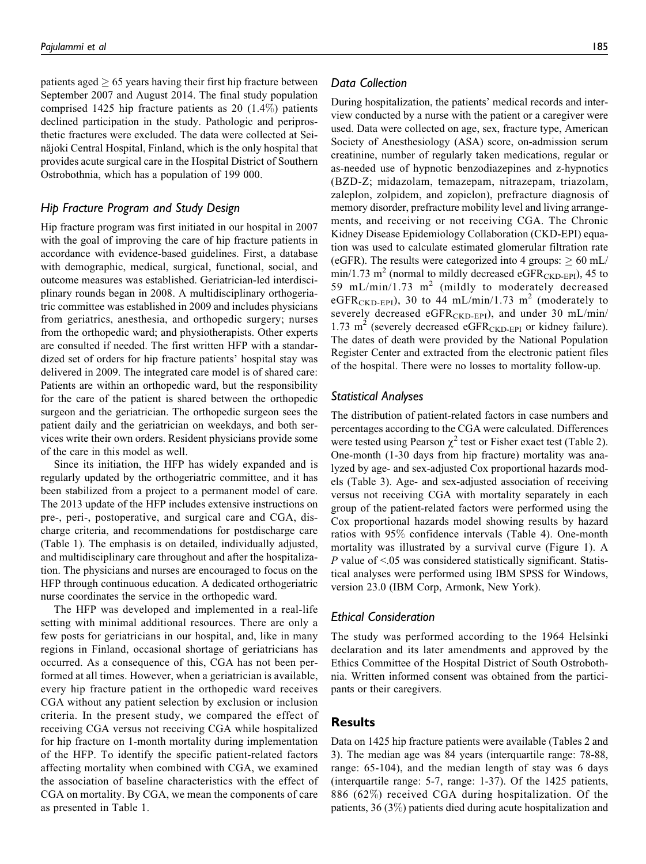patients aged  $\geq 65$  years having their first hip fracture between September 2007 and August 2014. The final study population comprised 1425 hip fracture patients as 20 (1.4%) patients declined participation in the study. Pathologic and periprosthetic fractures were excluded. The data were collected at Seinäjoki Central Hospital, Finland, which is the only hospital that provides acute surgical care in the Hospital District of Southern Ostrobothnia, which has a population of 199 000.

### Hip Fracture Program and Study Design

Hip fracture program was first initiated in our hospital in 2007 with the goal of improving the care of hip fracture patients in accordance with evidence-based guidelines. First, a database with demographic, medical, surgical, functional, social, and outcome measures was established. Geriatrician-led interdisciplinary rounds began in 2008. A multidisciplinary orthogeriatric committee was established in 2009 and includes physicians from geriatrics, anesthesia, and orthopedic surgery; nurses from the orthopedic ward; and physiotherapists. Other experts are consulted if needed. The first written HFP with a standardized set of orders for hip fracture patients' hospital stay was delivered in 2009. The integrated care model is of shared care: Patients are within an orthopedic ward, but the responsibility for the care of the patient is shared between the orthopedic surgeon and the geriatrician. The orthopedic surgeon sees the patient daily and the geriatrician on weekdays, and both services write their own orders. Resident physicians provide some of the care in this model as well.

Since its initiation, the HFP has widely expanded and is regularly updated by the orthogeriatric committee, and it has been stabilized from a project to a permanent model of care. The 2013 update of the HFP includes extensive instructions on pre-, peri-, postoperative, and surgical care and CGA, discharge criteria, and recommendations for postdischarge care (Table 1). The emphasis is on detailed, individually adjusted, and multidisciplinary care throughout and after the hospitalization. The physicians and nurses are encouraged to focus on the HFP through continuous education. A dedicated orthogeriatric nurse coordinates the service in the orthopedic ward.

The HFP was developed and implemented in a real-life setting with minimal additional resources. There are only a few posts for geriatricians in our hospital, and, like in many regions in Finland, occasional shortage of geriatricians has occurred. As a consequence of this, CGA has not been performed at all times. However, when a geriatrician is available, every hip fracture patient in the orthopedic ward receives CGA without any patient selection by exclusion or inclusion criteria. In the present study, we compared the effect of receiving CGA versus not receiving CGA while hospitalized for hip fracture on 1-month mortality during implementation of the HFP. To identify the specific patient-related factors affecting mortality when combined with CGA, we examined the association of baseline characteristics with the effect of CGA on mortality. By CGA, we mean the components of care as presented in Table 1.

## Data Collection

During hospitalization, the patients' medical records and interview conducted by a nurse with the patient or a caregiver were used. Data were collected on age, sex, fracture type, American Society of Anesthesiology (ASA) score, on-admission serum creatinine, number of regularly taken medications, regular or as-needed use of hypnotic benzodiazepines and z-hypnotics (BZD-Z; midazolam, temazepam, nitrazepam, triazolam, zaleplon, zolpidem, and zopiclon), prefracture diagnosis of memory disorder, prefracture mobility level and living arrangements, and receiving or not receiving CGA. The Chronic Kidney Disease Epidemiology Collaboration (CKD-EPI) equation was used to calculate estimated glomerular filtration rate (eGFR). The results were categorized into 4 groups:  $\geq 60$  mL/  $min/1.73$  m<sup>2</sup> (normal to mildly decreased eGFR<sub>CKD-EPI</sub>), 45 to 59 mL/min/1.73 m<sup>2</sup> (mildly to moderately decreased eGFR<sub>CKD-EPI</sub>), 30 to 44 mL/min/1.73 m<sup>2</sup> (moderately to severely decreased eGFR $_{\text{CKD-EPI}}$ , and under 30 mL/min/ 1.73  $m^2$  (severely decreased eGFR<sub>CKD-EPI</sub> or kidney failure). The dates of death were provided by the National Population Register Center and extracted from the electronic patient files of the hospital. There were no losses to mortality follow-up.

#### Statistical Analyses

The distribution of patient-related factors in case numbers and percentages according to the CGA were calculated. Differences were tested using Pearson  $\chi^2$  test or Fisher exact test (Table 2). One-month (1-30 days from hip fracture) mortality was analyzed by age- and sex-adjusted Cox proportional hazards models (Table 3). Age- and sex-adjusted association of receiving versus not receiving CGA with mortality separately in each group of the patient-related factors were performed using the Cox proportional hazards model showing results by hazard ratios with 95% confidence intervals (Table 4). One-month mortality was illustrated by a survival curve (Figure 1). A P value of  $\leq 0.05$  was considered statistically significant. Statistical analyses were performed using IBM SPSS for Windows, version 23.0 (IBM Corp, Armonk, New York).

## Ethical Consideration

The study was performed according to the 1964 Helsinki declaration and its later amendments and approved by the Ethics Committee of the Hospital District of South Ostrobothnia. Written informed consent was obtained from the participants or their caregivers.

#### Results

Data on 1425 hip fracture patients were available (Tables 2 and 3). The median age was 84 years (interquartile range: 78-88, range: 65-104), and the median length of stay was 6 days (interquartile range: 5-7, range: 1-37). Of the 1425 patients, 886 (62%) received CGA during hospitalization. Of the patients, 36 (3%) patients died during acute hospitalization and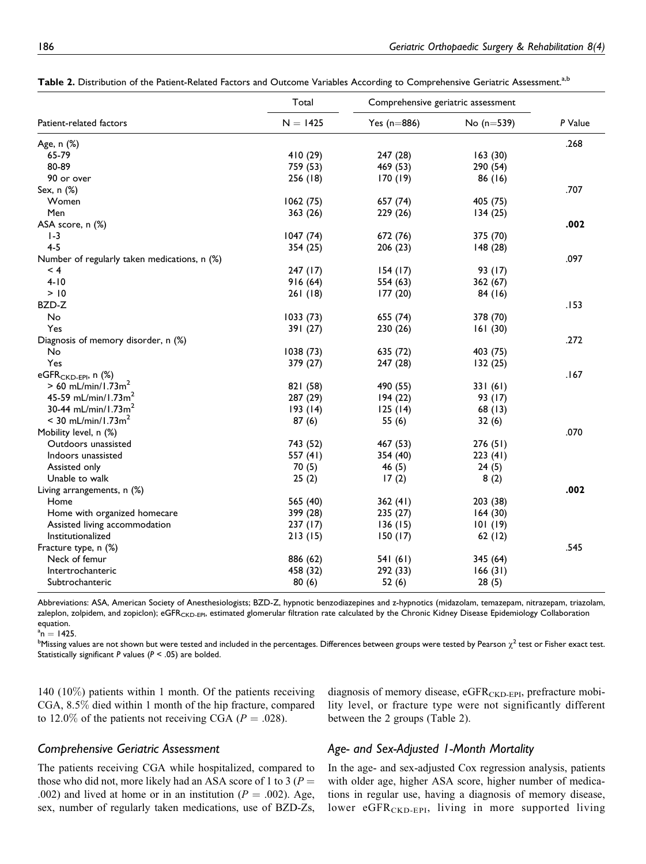|                                              | Total<br>$N = 1425$ | Comprehensive geriatric assessment |              |         |  |
|----------------------------------------------|---------------------|------------------------------------|--------------|---------|--|
| Patient-related factors                      |                     | Yes $(n=886)$                      | No $(n=539)$ | P Value |  |
| Age, n (%)                                   |                     |                                    |              | .268    |  |
| 65-79                                        | 410 (29)            | 247 (28)                           | 163(30)      |         |  |
| 80-89                                        | 759 (53)            | 469 (53)                           | 290 (54)     |         |  |
| 90 or over                                   | 256 (18)            | 170(19)                            | 86 (16)      |         |  |
| Sex, n (%)                                   |                     |                                    |              | .707    |  |
| Women                                        | 1062(75)            | 657 (74)                           | 405 (75)     |         |  |
| Men                                          | 363(26)             | 229 (26)                           | 134(25)      |         |  |
| ASA score, n (%)                             |                     |                                    |              | .002    |  |
| $1-3$                                        | 1047(74)            | 672 (76)                           | 375 (70)     |         |  |
| $4 - 5$                                      | 354(25)             | 206(23)                            | 148 (28)     |         |  |
| Number of regularly taken medications, n (%) |                     |                                    |              | .097    |  |
| $\leq 4$                                     | 247 (17)            | 154(17)                            | 93 (17)      |         |  |
| $4 - 10$                                     | 916(64)             | 554 (63)                           | 362 (67)     |         |  |
| > 10                                         | 261(18)             | 177(20)                            | 84 (16)      |         |  |
| BZD-Z                                        |                     |                                    |              | .153    |  |
| No                                           | 1033(73)            | 655 (74)                           | 378 (70)     |         |  |
| Yes                                          | 391 (27)            | 230 (26)                           | 161(30)      |         |  |
| Diagnosis of memory disorder, n (%)          |                     |                                    |              | .272    |  |
| No                                           | 1038(73)            | 635 (72)                           | 403 (75)     |         |  |
| Yes                                          | 379 (27)            | 247 (28)                           | 132(25)      |         |  |
| eGFR <sub>CKD-EPI</sub> , n (%)              |                     |                                    |              | .167    |  |
| $> 60$ mL/min/1.73m <sup>2</sup>             | 821 (58)            | 490 (55)                           | 331(61)      |         |  |
| 45-59 mL/min/1.73m <sup>2</sup>              | 287 (29)            | 194(22)                            | 93 (17)      |         |  |
| 30-44 mL/min/1.73 $m2$                       | 193(14)             | 125(14)                            | 68(13)       |         |  |
| $< 30$ mL/min/1.73m <sup>2</sup>             | 87(6)               | 55 (6)                             | 32(6)        |         |  |
| Mobility level, n (%)                        |                     |                                    |              | .070    |  |
| Outdoors unassisted                          | 743 (52)            | 467 (53)                           | 276 (51)     |         |  |
| Indoors unassisted                           | 557 (41)            | 354 (40)                           | 223(41)      |         |  |
| Assisted only                                |                     |                                    |              |         |  |
| Unable to walk                               | 70 (5)              | 46 $(5)$                           | 24(5)        |         |  |
|                                              | 25(2)               | 17(2)                              | 8(2)         | .002    |  |
| Living arrangements, n (%)<br>Home           |                     |                                    |              |         |  |
|                                              | 565 (40)            | 362(41)                            | 203 (38)     |         |  |
| Home with organized homecare                 | 399 (28)            | 235(27)                            | 164(30)      |         |  |
| Assisted living accommodation                | 237(17)             | 136(15)                            | 101(19)      |         |  |
| Institutionalized                            | 213(15)             | 150(17)                            | 62(12)       |         |  |
| Fracture type, n (%)                         |                     |                                    |              | .545    |  |
| Neck of femur                                | 886 (62)            | 541 (61)                           | 345 (64)     |         |  |
| Intertrochanteric                            | 458 (32)            | 292 (33)                           | 166(31)      |         |  |
| Subtrochanteric                              | 80(6)               | 52 (6)                             | 28(5)        |         |  |

|  |  | Table 2. Distribution of the Patient-Related Factors and Outcome Variables According to Comprehensive Geriatric Assessment. <sup>a.b</sup> |
|--|--|--------------------------------------------------------------------------------------------------------------------------------------------|
|  |  |                                                                                                                                            |

Abbreviations: ASA, American Society of Anesthesiologists; BZD-Z, hypnotic benzodiazepines and z-hypnotics (midazolam, temazepam, nitrazepam, triazolam, zaleplon, zolpidem, and zopiclon); eGFR<sub>CKD-EPI</sub>, estimated glomerular filtration rate calculated by the Chronic Kidney Disease Epidemiology Collaboration equation.

 $a_n = 1425$ .

 $^{\rm a}$ n = 1425.<br><sup>b</sup>Missing values are not shown but were tested and included in the percentages. Differences between groups were tested by Pearson  $\chi^2$  test or Fisher exact test. Statistically significant P values ( $P < .05$ ) are bolded.

140 (10%) patients within 1 month. Of the patients receiving CGA, 8.5% died within 1 month of the hip fracture, compared to 12.0% of the patients not receiving CGA ( $P = .028$ ).

diagnosis of memory disease, eGFR<sub>CKD-EPI</sub>, prefracture mobility level, or fracture type were not significantly different between the 2 groups (Table 2).

## Comprehensive Geriatric Assessment

The patients receiving CGA while hospitalized, compared to those who did not, more likely had an ASA score of 1 to 3 ( $P =$ .002) and lived at home or in an institution ( $P = .002$ ). Age, sex, number of regularly taken medications, use of BZD-Zs,

# Age- and Sex-Adjusted 1-Month Mortality

In the age- and sex-adjusted Cox regression analysis, patients with older age, higher ASA score, higher number of medications in regular use, having a diagnosis of memory disease, lower eGFR<sub>CKD-EPI</sub>, living in more supported living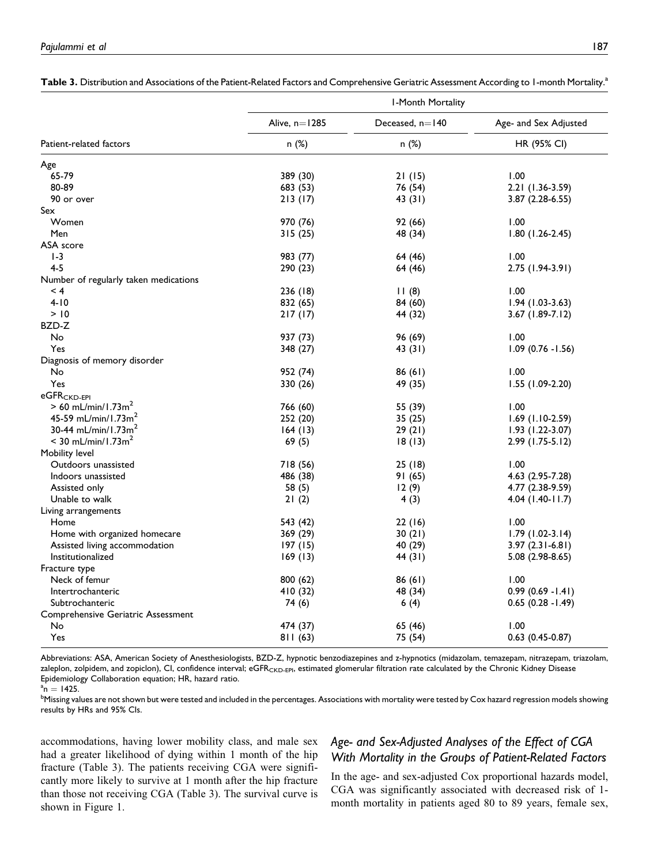|                                                             | I-Month Mortality |                   |                        |  |
|-------------------------------------------------------------|-------------------|-------------------|------------------------|--|
|                                                             | Alive, $n=1285$   | Deceased, $n=140$ | Age- and Sex Adjusted  |  |
| Patient-related factors                                     | n (%)             | n (%)             | HR (95% CI)            |  |
| Age                                                         |                   |                   |                        |  |
| 65-79                                                       | 389 (30)          | 21(15)            | 1.00                   |  |
| 80-89                                                       | 683 (53)          | 76 (54)           | 2.21 (1.36-3.59)       |  |
| 90 or over                                                  | 213(17)           | 43(31)            | 3.87 (2.28-6.55)       |  |
| Sex                                                         |                   |                   |                        |  |
| Women                                                       | 970 (76)          | 92 (66)           | 1.00                   |  |
| Men                                                         | 315(25)           | 48 (34)           | $1.80(1.26-2.45)$      |  |
| ASA score                                                   |                   |                   |                        |  |
| $1-3$                                                       | 983 (77)          | 64 (46)           | 1.00                   |  |
| $4 - 5$                                                     | 290 (23)          | 64 (46)           | 2.75 (1.94-3.91)       |  |
| Number of regularly taken medications                       |                   |                   |                        |  |
| $\leq 4$                                                    | 236 (18)          | 11(8)             | 1.00                   |  |
| $4 - 10$                                                    | 832 (65)          | 84 (60)           | $1.94(1.03-3.63)$      |  |
| > 10                                                        | 217(17)           | 44 (32)           | 3.67 (1.89-7.12)       |  |
| BZD-Z                                                       |                   |                   |                        |  |
| No                                                          | 937 (73)          | 96 (69)           | 1.00                   |  |
| Yes                                                         | 348 (27)          | 43 (31)           | $1.09$ (0.76 - 1.56)   |  |
|                                                             |                   |                   |                        |  |
| Diagnosis of memory disorder<br>No                          | 952 (74)          |                   | 1.00                   |  |
| Yes                                                         |                   | 86(61)            |                        |  |
|                                                             | 330 (26)          | 49 (35)           | 1.55 (1.09-2.20)       |  |
| eGFR <sub>CKD-EPI</sub><br>$> 60$ mL/min/1.73m <sup>2</sup> |                   |                   |                        |  |
| 45-59 mL/min/1.73m <sup>2</sup>                             | 766 (60)          | 55 (39)           | 1.00                   |  |
|                                                             | 252 (20)          | 35 (25)           | $1.69$ (1.10-2.59)     |  |
| 30-44 mL/min/1.73m <sup>2</sup>                             | 164(13)           | 29(21)            | $1.93(1.22 - 3.07)$    |  |
| $< 30$ mL/min/1.73m <sup>2</sup>                            | 69(5)             | 18(13)            | $2.99$ (1.75-5.12)     |  |
| Mobility level                                              |                   |                   |                        |  |
| Outdoors unassisted                                         | 718 (56)          | 25(18)            | 1.00                   |  |
| Indoors unassisted                                          | 486 (38)          | 91 (65)           | 4.63 (2.95-7.28)       |  |
| Assisted only                                               | 58(5)             | 12(9)             | 4.77 (2.38-9.59)       |  |
| Unable to walk                                              | 21(2)             | 4(3)              | 4.04 (1.40-11.7)       |  |
| Living arrangements                                         |                   |                   |                        |  |
| Home                                                        | 543 (42)          | 22(16)            | 1.00                   |  |
| Home with organized homecare                                | 369 (29)          | 30(21)            | $1.79(1.02-3.14)$      |  |
| Assisted living accommodation                               | 197(15)           | 40 (29)           | $3.97(2.31 - 6.81)$    |  |
| Institutionalized                                           | 169(13)           | 44 (31)           | $5.08(2.98-8.65)$      |  |
| Fracture type                                               |                   |                   |                        |  |
| Neck of femur                                               | 800 (62)          | 86(61)            | 1.00                   |  |
| Intertrochanteric                                           | 410 (32)          | 48 (34)           | $0.99(0.69 - 1.41)$    |  |
| Subtrochanteric                                             | 74 (6)            | 6(4)              | $0.65$ $(0.28 - 1.49)$ |  |
| Comprehensive Geriatric Assessment                          |                   |                   |                        |  |
| No                                                          | 474 (37)          | 65 (46)           | 1.00                   |  |
| Yes                                                         | 811(63)           | 75 (54)           | $0.63$ (0.45-0.87)     |  |
|                                                             |                   |                   |                        |  |

Table 3. Distribution and Associations of the Patient-Related Factors and Comprehensive Geriatric Assessment According to 1-month Mortality.<sup>a</sup>

Abbreviations: ASA, American Society of Anesthesiologists, BZD-Z, hypnotic benzodiazepines and z-hypnotics (midazolam, temazepam, nitrazepam, triazolam, zaleplon, zolpidem, and zopiclon), CI, confidence interval; eGFR<sub>CKD-EPI</sub>, estimated glomerular filtration rate calculated by the Chronic Kidney Disease Epidemiology Collaboration equation; HR, hazard ratio.

 $n^a$ n = 1425.<br><sup>b</sup>Missing vo

<sup>b</sup>Missing values are not shown but were tested and included in the percentages. Associations with mortality were tested by Cox hazard regression models showing results by HRs and 95% CIs.

accommodations, having lower mobility class, and male sex had a greater likelihood of dying within 1 month of the hip fracture (Table 3). The patients receiving CGA were significantly more likely to survive at 1 month after the hip fracture than those not receiving CGA (Table 3). The survival curve is shown in Figure 1.

# Age- and Sex-Adjusted Analyses of the Effect of CGA With Mortality in the Groups of Patient-Related Factors

In the age- and sex-adjusted Cox proportional hazards model, CGA was significantly associated with decreased risk of 1 month mortality in patients aged 80 to 89 years, female sex,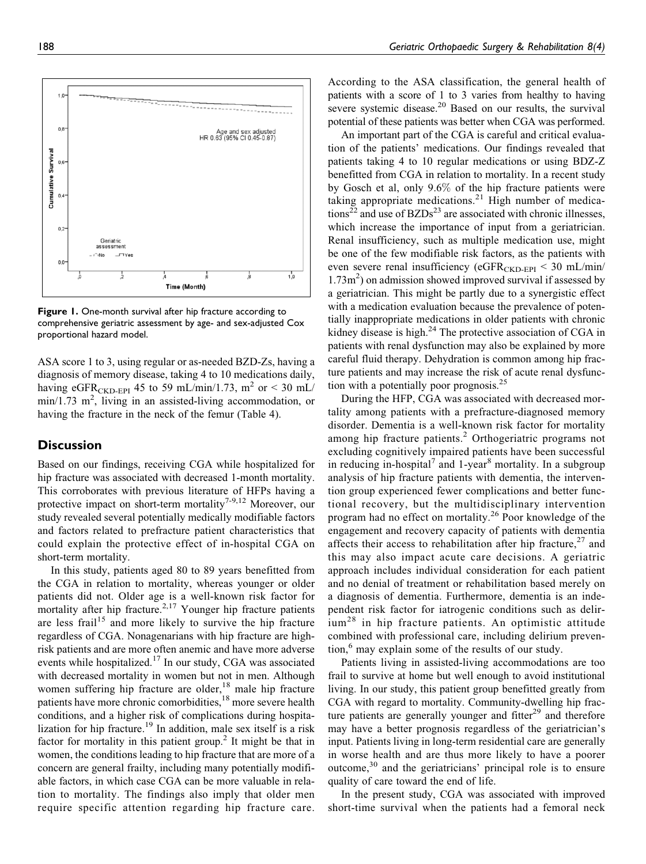

Figure 1. One-month survival after hip fracture according to comprehensive geriatric assessment by age- and sex-adjusted Cox proportional hazard model.

ASA score 1 to 3, using regular or as-needed BZD-Zs, having a diagnosis of memory disease, taking 4 to 10 medications daily, having eGFR<sub>CKD-EPI</sub> 45 to 59 mL/min/1.73, m<sup>2</sup> or < 30 mL/  $min/1.73$  m<sup>2</sup>, living in an assisted-living accommodation, or having the fracture in the neck of the femur (Table 4).

# **Discussion**

Based on our findings, receiving CGA while hospitalized for hip fracture was associated with decreased 1-month mortality. This corroborates with previous literature of HFPs having a protective impact on short-term mortality<sup>7-9,12</sup> Moreover, our study revealed several potentially medically modifiable factors and factors related to prefracture patient characteristics that could explain the protective effect of in-hospital CGA on short-term mortality.

In this study, patients aged 80 to 89 years benefitted from the CGA in relation to mortality, whereas younger or older patients did not. Older age is a well-known risk factor for mortality after hip fracture.<sup>2,17</sup> Younger hip fracture patients are less frail<sup>15</sup> and more likely to survive the hip fracture regardless of CGA. Nonagenarians with hip fracture are highrisk patients and are more often anemic and have more adverse events while hospitalized.<sup>17</sup> In our study, CGA was associated with decreased mortality in women but not in men. Although women suffering hip fracture are older,<sup>18</sup> male hip fracture patients have more chronic comorbidities,<sup>18</sup> more severe health conditions, and a higher risk of complications during hospitalization for hip fracture.<sup>19</sup> In addition, male sex itself is a risk factor for mortality in this patient group.<sup>2</sup> It might be that in women, the conditions leading to hip fracture that are more of a concern are general frailty, including many potentially modifiable factors, in which case CGA can be more valuable in relation to mortality. The findings also imply that older men require specific attention regarding hip fracture care.

According to the ASA classification, the general health of patients with a score of 1 to 3 varies from healthy to having severe systemic disease.<sup>20</sup> Based on our results, the survival potential of these patients was better when CGA was performed.

An important part of the CGA is careful and critical evaluation of the patients' medications. Our findings revealed that patients taking 4 to 10 regular medications or using BDZ-Z benefitted from CGA in relation to mortality. In a recent study by Gosch et al, only 9.6% of the hip fracture patients were taking appropriate medications.<sup>21</sup> High number of medications<sup>22</sup> and use of BZDs<sup>23</sup> are associated with chronic illnesses, which increase the importance of input from a geriatrician. Renal insufficiency, such as multiple medication use, might be one of the few modifiable risk factors, as the patients with even severe renal insufficiency ( $eGFR<sub>CKD-FPI</sub> < 30$  mL/min/ 1.73m<sup>2</sup>) on admission showed improved survival if assessed by a geriatrician. This might be partly due to a synergistic effect with a medication evaluation because the prevalence of potentially inappropriate medications in older patients with chronic kidney disease is high.<sup>24</sup> The protective association of CGA in patients with renal dysfunction may also be explained by more careful fluid therapy. Dehydration is common among hip fracture patients and may increase the risk of acute renal dysfunction with a potentially poor prognosis.<sup>25</sup>

During the HFP, CGA was associated with decreased mortality among patients with a prefracture-diagnosed memory disorder. Dementia is a well-known risk factor for mortality among hip fracture patients.<sup>2</sup> Orthogeriatric programs not excluding cognitively impaired patients have been successful in reducing in-hospital<sup>7</sup> and 1-year<sup>8</sup> mortality. In a subgroup analysis of hip fracture patients with dementia, the intervention group experienced fewer complications and better functional recovery, but the multidisciplinary intervention program had no effect on mortality.<sup>26</sup> Poor knowledge of the engagement and recovery capacity of patients with dementia affects their access to rehabilitation after hip fracture,  $27$  and this may also impact acute care decisions. A geriatric approach includes individual consideration for each patient and no denial of treatment or rehabilitation based merely on a diagnosis of dementia. Furthermore, dementia is an independent risk factor for iatrogenic conditions such as delir $ium<sup>28</sup>$  in hip fracture patients. An optimistic attitude combined with professional care, including delirium prevention,<sup>6</sup> may explain some of the results of our study.

Patients living in assisted-living accommodations are too frail to survive at home but well enough to avoid institutional living. In our study, this patient group benefitted greatly from CGA with regard to mortality. Community-dwelling hip fracture patients are generally younger and fitter $^{29}$  and therefore may have a better prognosis regardless of the geriatrician's input. Patients living in long-term residential care are generally in worse health and are thus more likely to have a poorer outcome,<sup>30</sup> and the geriatricians' principal role is to ensure quality of care toward the end of life.

In the present study, CGA was associated with improved short-time survival when the patients had a femoral neck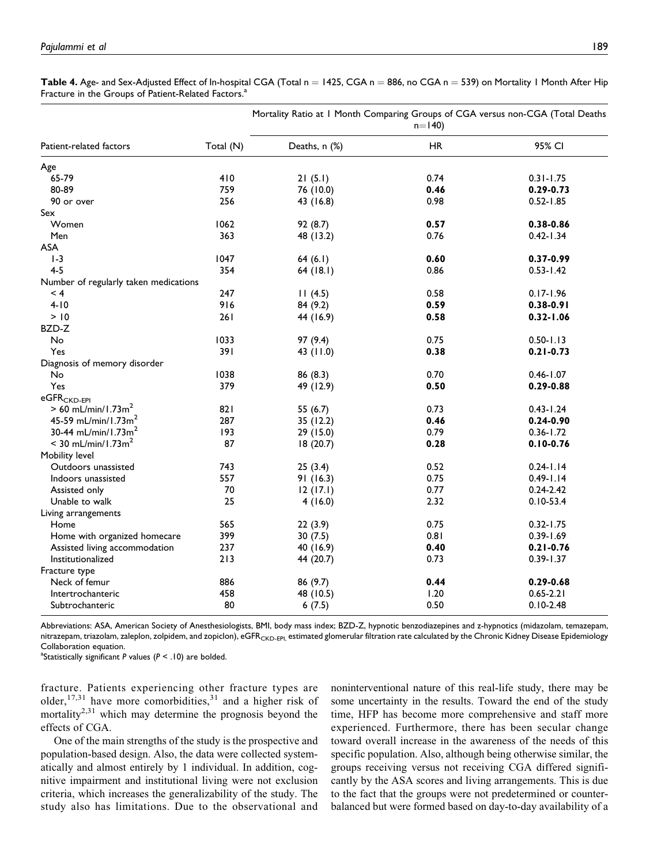|                                       |           | Mortality Ratio at 1 Month Comparing Groups of CGA versus non-CGA (Total Deaths<br>$n=140$ |           |               |  |
|---------------------------------------|-----------|--------------------------------------------------------------------------------------------|-----------|---------------|--|
| Patient-related factors               | Total (N) | Deaths, n (%)                                                                              | <b>HR</b> | 95% CI        |  |
| Age                                   |           |                                                                                            |           |               |  |
| 65-79                                 | 410       | 21(5.1)                                                                                    | 0.74      | $0.31 - 1.75$ |  |
| 80-89                                 | 759       | 76 (10.0)                                                                                  | 0.46      | $0.29 - 0.73$ |  |
| 90 or over                            | 256       | 43 (16.8)                                                                                  | 0.98      | $0.52 - 1.85$ |  |
| Sex                                   |           |                                                                                            |           |               |  |
| Women                                 | 1062      | 92 (8.7)                                                                                   | 0.57      | 0.38-0.86     |  |
| Men                                   | 363       | 48 (13.2)                                                                                  | 0.76      | $0.42 - 1.34$ |  |
| ASA                                   |           |                                                                                            |           |               |  |
| $1-3$                                 | 1047      | 64(6.1)                                                                                    | 0.60      | 0.37-0.99     |  |
| $4 - 5$                               | 354       | 64(18.1)                                                                                   | 0.86      | $0.53 - 1.42$ |  |
| Number of regularly taken medications |           |                                                                                            |           |               |  |
| $\leq 4$                              | 247       | 11(4.5)                                                                                    | 0.58      | $0.17 - 1.96$ |  |
| $4 - 10$                              | 916       | 84 (9.2)                                                                                   | 0.59      | $0.38 - 0.91$ |  |
| > 10                                  | 261       | 44 (16.9)                                                                                  | 0.58      | $0.32 - 1.06$ |  |
| BZD-Z                                 |           |                                                                                            |           |               |  |
| No                                    | 1033      | 97 (9.4)                                                                                   | 0.75      | $0.50 - 1.13$ |  |
| Yes                                   | 391       | 43 (11.0)                                                                                  | 0.38      | $0.21 - 0.73$ |  |
| Diagnosis of memory disorder          |           |                                                                                            |           |               |  |
| No                                    | 1038      | 86 (8.3)                                                                                   | 0.70      | $0.46 - 1.07$ |  |
| Yes                                   | 379       | 49 (12.9)                                                                                  | 0.50      | $0.29 - 0.88$ |  |
| eGFR <sub>CKD-EPI</sub>               |           |                                                                                            |           |               |  |
| $> 60$ mL/min/1.73m <sup>2</sup>      | 821       | 55 (6.7)                                                                                   | 0.73      | $0.43 - 1.24$ |  |
| 45-59 mL/min/1.73m <sup>2</sup>       | 287       | 35 (12.2)                                                                                  | 0.46      | $0.24 - 0.90$ |  |
| 30-44 mL/min/1.73m <sup>2</sup>       | 193       | 29(15.0)                                                                                   | 0.79      | $0.36 - 1.72$ |  |
| $< 30$ mL/min/1.73m <sup>2</sup>      | 87        | 18 (20.7)                                                                                  | 0.28      | $0.10 - 0.76$ |  |
| Mobility level                        |           |                                                                                            |           |               |  |
| Outdoors unassisted                   | 743       | 25(3.4)                                                                                    | 0.52      | $0.24 - 1.14$ |  |
| Indoors unassisted                    | 557       | 91(16.3)                                                                                   | 0.75      | $0.49 - 1.14$ |  |
| Assisted only                         | 70        | 12(17.1)                                                                                   | 0.77      | $0.24 - 2.42$ |  |
| Unable to walk                        | 25        | 4(16.0)                                                                                    | 2.32      | $0.10 - 53.4$ |  |
| Living arrangements                   |           |                                                                                            |           |               |  |
| Home                                  | 565       | 22(3.9)                                                                                    | 0.75      | $0.32 - 1.75$ |  |
| Home with organized homecare          | 399       | 30(7.5)                                                                                    | 0.81      | $0.39 - 1.69$ |  |
| Assisted living accommodation         | 237       | 40 (16.9)                                                                                  | 0.40      | $0.21 - 0.76$ |  |
| Institutionalized                     | 213       | 44 (20.7)                                                                                  | 0.73      | $0.39 - 1.37$ |  |
| Fracture type                         |           |                                                                                            |           |               |  |
| Neck of femur                         | 886       | 86 (9.7)                                                                                   | 0.44      | $0.29 - 0.68$ |  |
| Intertrochanteric                     | 458       | 48 (10.5)                                                                                  | 1.20      | $0.65 - 2.21$ |  |
| Subtrochanteric                       | 80        | 6(7.5)                                                                                     | 0.50      | $0.10 - 2.48$ |  |

Table 4. Age- and Sex-Adjusted Effect of In-hospital CGA (Total  $n = 1425$ , CGA  $n = 886$ , no CGA  $n = 539$ ) on Mortality 1 Month After Hip Fracture in the Groups of Patient-Related Factors.<sup>a</sup>

Abbreviations: ASA, American Society of Anesthesiologists, BMI, body mass index; BZD-Z, hypnotic benzodiazepines and z-hypnotics (midazolam, temazepam, nitrazepam, triazolam, zaleplon, zolpidem, and zopiclon), eGFR<sub>CKD-EPI,</sub> estimated glomerular filtration rate calculated by the Chronic Kidney Disease Epidemiology Collaboration equation.

<sup>a</sup>Statistically significant P values ( $P < .10$ ) are bolded.

fracture. Patients experiencing other fracture types are older,  $17,31$  have more comorbidities,  $31$  and a higher risk of mortality $2,31$  which may determine the prognosis beyond the effects of CGA.

One of the main strengths of the study is the prospective and population-based design. Also, the data were collected systematically and almost entirely by 1 individual. In addition, cognitive impairment and institutional living were not exclusion criteria, which increases the generalizability of the study. The study also has limitations. Due to the observational and noninterventional nature of this real-life study, there may be some uncertainty in the results. Toward the end of the study time, HFP has become more comprehensive and staff more experienced. Furthermore, there has been secular change toward overall increase in the awareness of the needs of this specific population. Also, although being otherwise similar, the groups receiving versus not receiving CGA differed significantly by the ASA scores and living arrangements. This is due to the fact that the groups were not predetermined or counterbalanced but were formed based on day-to-day availability of a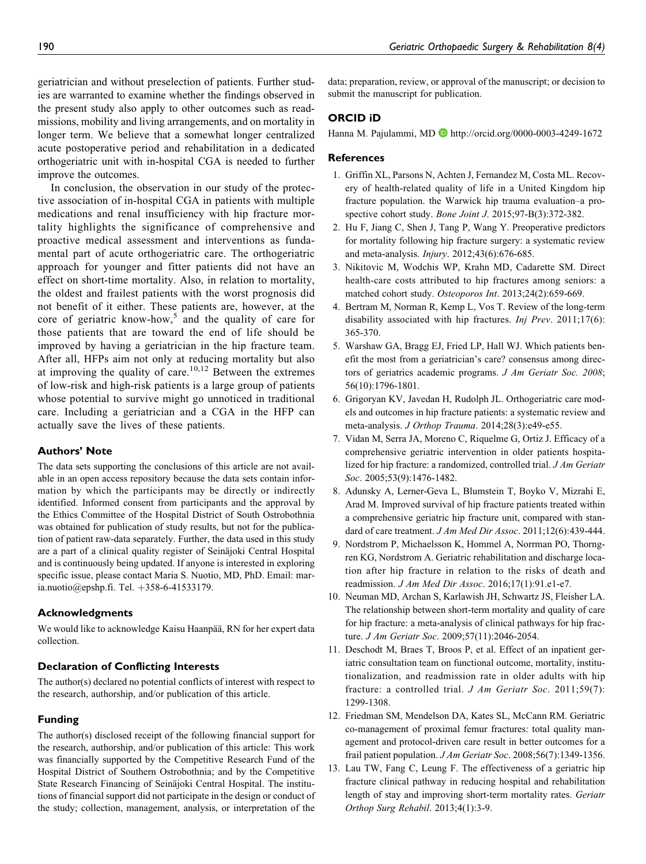geriatrician and without preselection of patients. Further studies are warranted to examine whether the findings observed in the present study also apply to other outcomes such as readmissions, mobility and living arrangements, and on mortality in longer term. We believe that a somewhat longer centralized acute postoperative period and rehabilitation in a dedicated orthogeriatric unit with in-hospital CGA is needed to further improve the outcomes.

In conclusion, the observation in our study of the protective association of in-hospital CGA in patients with multiple medications and renal insufficiency with hip fracture mortality highlights the significance of comprehensive and proactive medical assessment and interventions as fundamental part of acute orthogeriatric care. The orthogeriatric approach for younger and fitter patients did not have an effect on short-time mortality. Also, in relation to mortality, the oldest and frailest patients with the worst prognosis did not benefit of it either. These patients are, however, at the core of geriatric know-how,<sup>5</sup> and the quality of care for those patients that are toward the end of life should be improved by having a geriatrician in the hip fracture team. After all, HFPs aim not only at reducing mortality but also at improving the quality of care.<sup>10,12</sup> Between the extremes of low-risk and high-risk patients is a large group of patients whose potential to survive might go unnoticed in traditional care. Including a geriatrician and a CGA in the HFP can actually save the lives of these patients.

## Authors' Note

The data sets supporting the conclusions of this article are not available in an open access repository because the data sets contain information by which the participants may be directly or indirectly identified. Informed consent from participants and the approval by the Ethics Committee of the Hospital District of South Ostrobothnia was obtained for publication of study results, but not for the publication of patient raw-data separately. Further, the data used in this study are a part of a clinical quality register of Seinäjoki Central Hospital and is continuously being updated. If anyone is interested in exploring specific issue, please contact Maria S. Nuotio, MD, PhD. Email: maria.nuotio@epshp.fi. Tel.  $+358-6-41533179$ .

#### Acknowledgments

We would like to acknowledge Kaisu Haanpää, RN for her expert data collection.

## Declaration of Conflicting Interests

The author(s) declared no potential conflicts of interest with respect to the research, authorship, and/or publication of this article.

## Funding

The author(s) disclosed receipt of the following financial support for the research, authorship, and/or publication of this article: This work was financially supported by the Competitive Research Fund of the Hospital District of Southern Ostrobothnia; and by the Competitive State Research Financing of Seinäjoki Central Hospital. The institutions of financial support did not participate in the design or conduct of the study; collection, management, analysis, or interpretation of the data; preparation, review, or approval of the manuscript; or decision to submit the manuscript for publication.

## ORCID iD

Hanna M. Pajulammi, MD D <http://orcid.org/0000-0003-4249-1672>

#### **References**

- 1. Griffin XL, Parsons N, Achten J, Fernandez M, Costa ML. Recovery of health-related quality of life in a United Kingdom hip fracture population. the Warwick hip trauma evaluation–a prospective cohort study. Bone Joint J. 2015;97-B(3):372-382.
- 2. Hu F, Jiang C, Shen J, Tang P, Wang Y. Preoperative predictors for mortality following hip fracture surgery: a systematic review and meta-analysis. Injury. 2012;43(6):676-685.
- 3. Nikitovic M, Wodchis WP, Krahn MD, Cadarette SM. Direct health-care costs attributed to hip fractures among seniors: a matched cohort study. Osteoporos Int. 2013;24(2):659-669.
- 4. Bertram M, Norman R, Kemp L, Vos T. Review of the long-term disability associated with hip fractures. Inj Prev. 2011;17(6): 365-370.
- 5. Warshaw GA, Bragg EJ, Fried LP, Hall WJ. Which patients benefit the most from a geriatrician's care? consensus among directors of geriatrics academic programs. J Am Geriatr Soc. 2008; 56(10):1796-1801.
- 6. Grigoryan KV, Javedan H, Rudolph JL. Orthogeriatric care models and outcomes in hip fracture patients: a systematic review and meta-analysis. J Orthop Trauma. 2014;28(3):e49-e55.
- 7. Vidan M, Serra JA, Moreno C, Riquelme G, Ortiz J. Efficacy of a comprehensive geriatric intervention in older patients hospitalized for hip fracture: a randomized, controlled trial. J Am Geriatr Soc. 2005;53(9):1476-1482.
- 8. Adunsky A, Lerner-Geva L, Blumstein T, Boyko V, Mizrahi E, Arad M. Improved survival of hip fracture patients treated within a comprehensive geriatric hip fracture unit, compared with standard of care treatment. J Am Med Dir Assoc. 2011;12(6):439-444.
- 9. Nordstrom P, Michaelsson K, Hommel A, Norrman PO, Thorngren KG, Nordstrom A. Geriatric rehabilitation and discharge location after hip fracture in relation to the risks of death and readmission. J Am Med Dir Assoc. 2016;17(1):91.e1-e7.
- 10. Neuman MD, Archan S, Karlawish JH, Schwartz JS, Fleisher LA. The relationship between short-term mortality and quality of care for hip fracture: a meta-analysis of clinical pathways for hip fracture. J Am Geriatr Soc. 2009;57(11):2046-2054.
- 11. Deschodt M, Braes T, Broos P, et al. Effect of an inpatient geriatric consultation team on functional outcome, mortality, institutionalization, and readmission rate in older adults with hip fracture: a controlled trial. J Am Geriatr Soc. 2011;59(7): 1299-1308.
- 12. Friedman SM, Mendelson DA, Kates SL, McCann RM. Geriatric co-management of proximal femur fractures: total quality management and protocol-driven care result in better outcomes for a frail patient population. J Am Geriatr Soc. 2008;56(7):1349-1356.
- 13. Lau TW, Fang C, Leung F. The effectiveness of a geriatric hip fracture clinical pathway in reducing hospital and rehabilitation length of stay and improving short-term mortality rates. Geriatr Orthop Surg Rehabil. 2013;4(1):3-9.